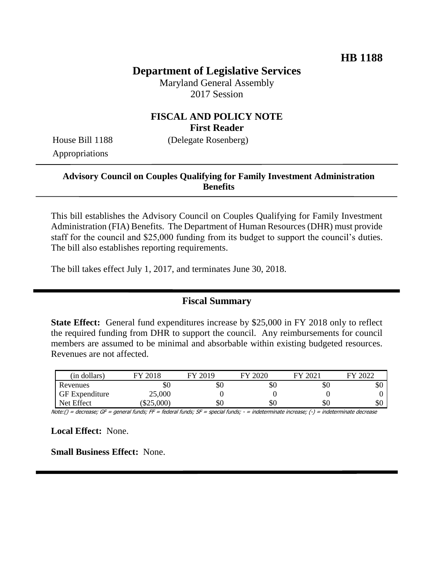# **Department of Legislative Services**

Maryland General Assembly 2017 Session

### **FISCAL AND POLICY NOTE First Reader**

House Bill 1188 (Delegate Rosenberg) Appropriations

#### **Advisory Council on Couples Qualifying for Family Investment Administration Benefits**

This bill establishes the Advisory Council on Couples Qualifying for Family Investment Administration (FIA) Benefits. The Department of Human Resources (DHR) must provide staff for the council and \$25,000 funding from its budget to support the council's duties. The bill also establishes reporting requirements.

The bill takes effect July 1, 2017, and terminates June 30, 2018.

#### **Fiscal Summary**

**State Effect:** General fund expenditures increase by \$25,000 in FY 2018 only to reflect the required funding from DHR to support the council. Any reimbursements for council members are assumed to be minimal and absorbable within existing budgeted resources. Revenues are not affected.

| (in dollars)          | 2018<br>FV | 2019<br>FV. | FY 2020 | 12021<br>FV | 2022<br>FУ |
|-----------------------|------------|-------------|---------|-------------|------------|
| Revenues              | \$0        | \$0         | \$0     | УU          | \$0        |
| <b>GF</b> Expenditure | 25,000     |             |         |             |            |
| Net Effect            | \$25,000   | \$0         | \$0     | \$0         | \$0        |

Note:() = decrease; GF = general funds; FF = federal funds; SF = special funds; - = indeterminate increase; (-) = indeterminate decrease

**Local Effect:** None.

**Small Business Effect:** None.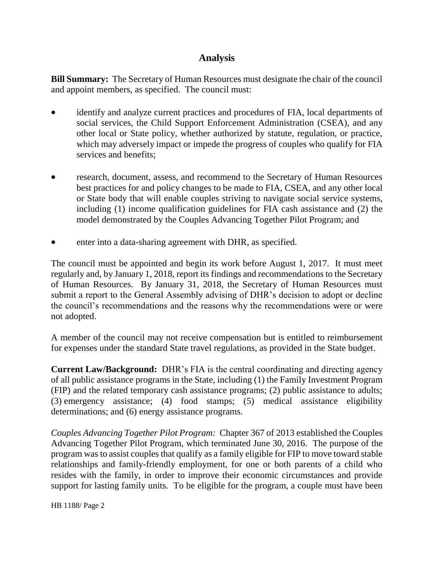# **Analysis**

**Bill Summary:** The Secretary of Human Resources must designate the chair of the council and appoint members, as specified. The council must:

- identify and analyze current practices and procedures of FIA, local departments of social services, the Child Support Enforcement Administration (CSEA), and any other local or State policy, whether authorized by statute, regulation, or practice, which may adversely impact or impede the progress of couples who qualify for FIA services and benefits;
- research, document, assess, and recommend to the Secretary of Human Resources best practices for and policy changes to be made to FIA, CSEA, and any other local or State body that will enable couples striving to navigate social service systems, including (1) income qualification guidelines for FIA cash assistance and (2) the model demonstrated by the Couples Advancing Together Pilot Program; and
- enter into a data-sharing agreement with DHR, as specified.

The council must be appointed and begin its work before August 1, 2017. It must meet regularly and, by January 1, 2018, report its findings and recommendations to the Secretary of Human Resources. By January 31, 2018, the Secretary of Human Resources must submit a report to the General Assembly advising of DHR's decision to adopt or decline the council's recommendations and the reasons why the recommendations were or were not adopted.

A member of the council may not receive compensation but is entitled to reimbursement for expenses under the standard State travel regulations, as provided in the State budget.

**Current Law/Background:** DHR's FIA is the central coordinating and directing agency of all public assistance programs in the State, including (1) the Family Investment Program (FIP) and the related temporary cash assistance programs; (2) public assistance to adults; (3) emergency assistance; (4) food stamps; (5) medical assistance eligibility determinations; and (6) energy assistance programs.

*Couples Advancing Together Pilot Program:* Chapter 367 of 2013 established the Couples Advancing Together Pilot Program, which terminated June 30, 2016. The purpose of the program was to assist couples that qualify as a family eligible for FIP to move toward stable relationships and family-friendly employment, for one or both parents of a child who resides with the family, in order to improve their economic circumstances and provide support for lasting family units. To be eligible for the program, a couple must have been

HB 1188/ Page 2